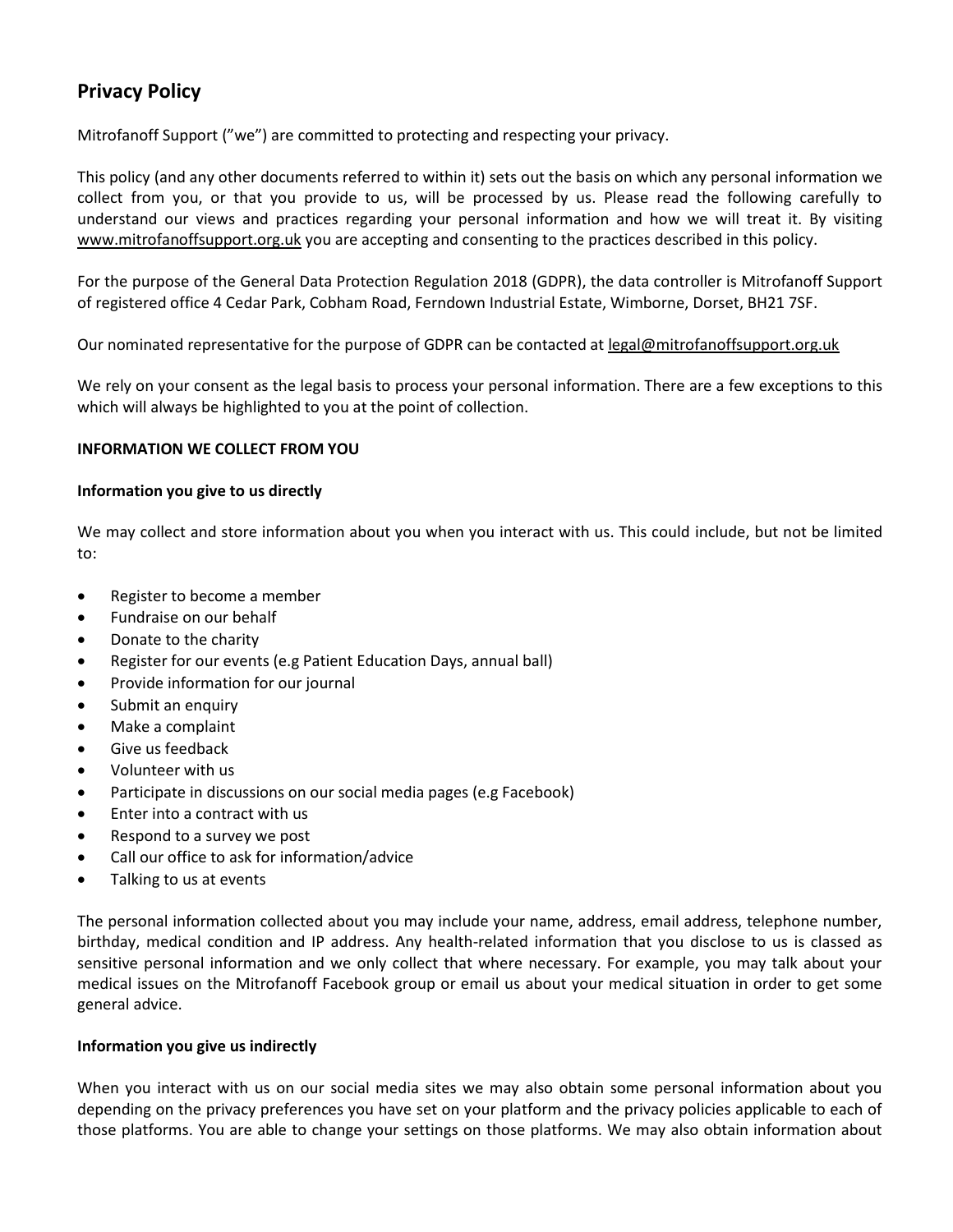# **Privacy Policy**

Mitrofanoff Support ("we") are committed to protecting and respecting your privacy.

This policy (and any other documents referred to within it) sets out the basis on which any personal information we collect from you, or that you provide to us, will be processed by us. Please read the following carefully to understand our views and practices regarding your personal information and how we will treat it. By visiting [www.mitrofanoffsupport.org.uk](http://www.mitrofanoffsupport.org.uk/) you are accepting and consenting to the practices described in this policy.

For the purpose of the General Data Protection Regulation 2018 (GDPR), the data controller is Mitrofanoff Support of registered office 4 Cedar Park, Cobham Road, Ferndown Industrial Estate, Wimborne, Dorset, BH21 7SF.

Our nominated representative for the purpose of GDPR can be contacted a[t legal@mitrofanoffsupport.org.uk](mailto:legal@mitrofanoffsupport.org.uk)

We rely on your consent as the legal basis to process your personal information. There are a few exceptions to this which will always be highlighted to you at the point of collection.

# **INFORMATION WE COLLECT FROM YOU**

## **Information you give to us directly**

We may collect and store information about you when you interact with us. This could include, but not be limited to:

- Register to become a member
- Fundraise on our behalf
- Donate to the charity
- Register for our events (e.g Patient Education Days, annual ball)
- Provide information for our journal
- Submit an enquiry
- Make a complaint
- Give us feedback
- Volunteer with us
- Participate in discussions on our social media pages (e.g Facebook)
- Enter into a contract with us
- Respond to a survey we post
- Call our office to ask for information/advice
- Talking to us at events

The personal information collected about you may include your name, address, email address, telephone number, birthday, medical condition and IP address. Any health-related information that you disclose to us is classed as sensitive personal information and we only collect that where necessary. For example, you may talk about your medical issues on the Mitrofanoff Facebook group or email us about your medical situation in order to get some general advice.

# **Information you give us indirectly**

When you interact with us on our social media sites we may also obtain some personal information about you depending on the privacy preferences you have set on your platform and the privacy policies applicable to each of those platforms. You are able to change your settings on those platforms. We may also obtain information about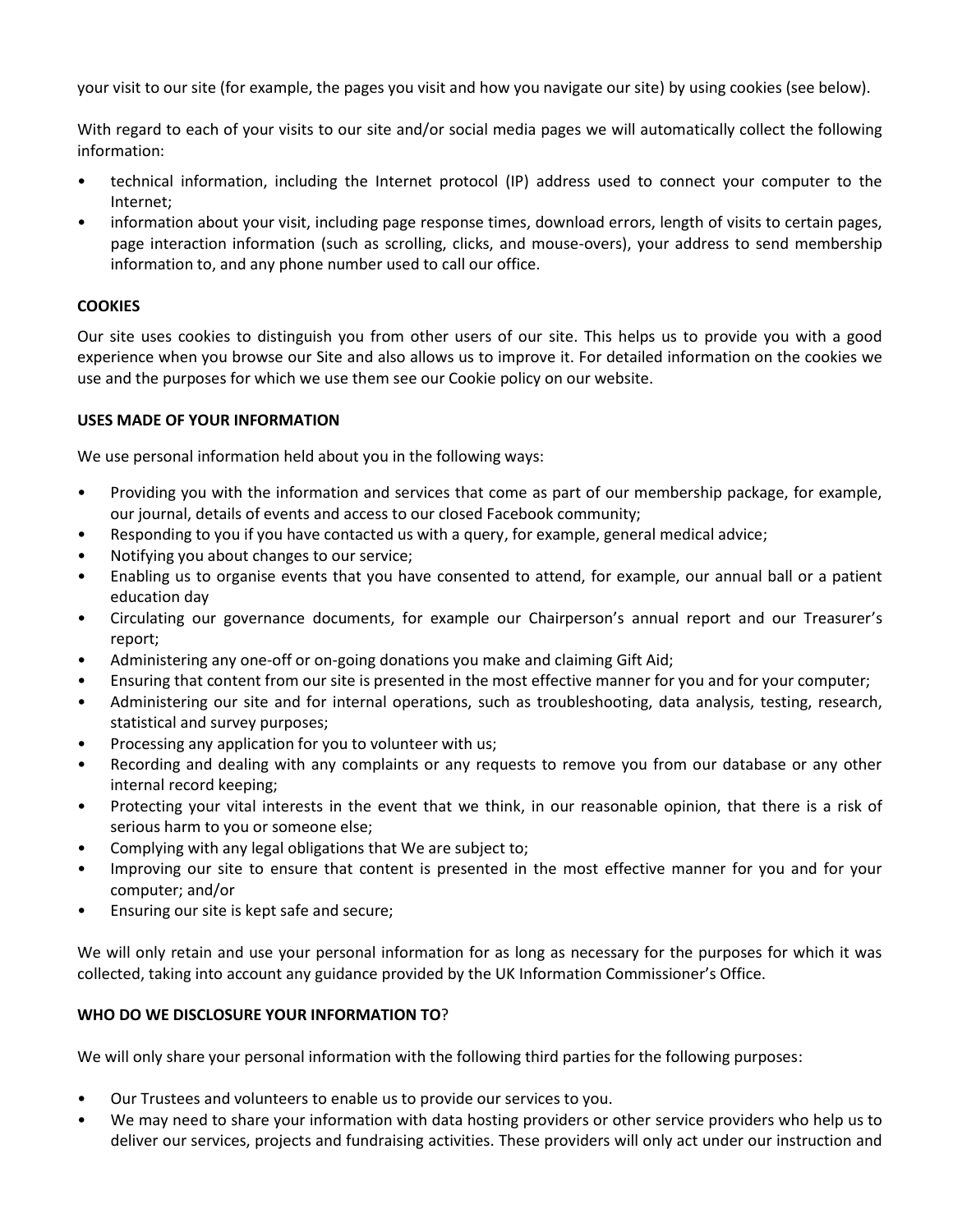your visit to our site (for example, the pages you visit and how you navigate our site) by using cookies (see below).

With regard to each of your visits to our site and/or social media pages we will automatically collect the following information:

- technical information, including the Internet protocol (IP) address used to connect your computer to the Internet;
- information about your visit, including page response times, download errors, length of visits to certain pages, page interaction information (such as scrolling, clicks, and mouse-overs), your address to send membership information to, and any phone number used to call our office.

# **COOKIES**

Our site uses cookies to distinguish you from other users of our site. This helps us to provide you with a good experience when you browse our Site and also allows us to improve it. For detailed information on the cookies we use and the purposes for which we use them see our Cookie policy on our website.

# **USES MADE OF YOUR INFORMATION**

We use personal information held about you in the following ways:

- Providing you with the information and services that come as part of our membership package, for example, our journal, details of events and access to our closed Facebook community;
- Responding to you if you have contacted us with a query, for example, general medical advice;
- Notifying you about changes to our service;
- Enabling us to organise events that you have consented to attend, for example, our annual ball or a patient education day
- Circulating our governance documents, for example our Chairperson's annual report and our Treasurer's report;
- Administering any one-off or on-going donations you make and claiming Gift Aid;
- Ensuring that content from our site is presented in the most effective manner for you and for your computer;
- Administering our site and for internal operations, such as troubleshooting, data analysis, testing, research, statistical and survey purposes;
- Processing any application for you to volunteer with us;
- Recording and dealing with any complaints or any requests to remove you from our database or any other internal record keeping;
- Protecting your vital interests in the event that we think, in our reasonable opinion, that there is a risk of serious harm to you or someone else;
- Complying with any legal obligations that We are subject to;
- Improving our site to ensure that content is presented in the most effective manner for you and for your computer; and/or
- Ensuring our site is kept safe and secure;

We will only retain and use your personal information for as long as necessary for the purposes for which it was collected, taking into account any guidance provided by the UK Information Commissioner's Office.

# **WHO DO WE DISCLOSURE YOUR INFORMATION TO**?

We will only share your personal information with the following third parties for the following purposes:

- Our Trustees and volunteers to enable us to provide our services to you.
- We may need to share your information with data hosting providers or other service providers who help us to deliver our services, projects and fundraising activities. These providers will only act under our instruction and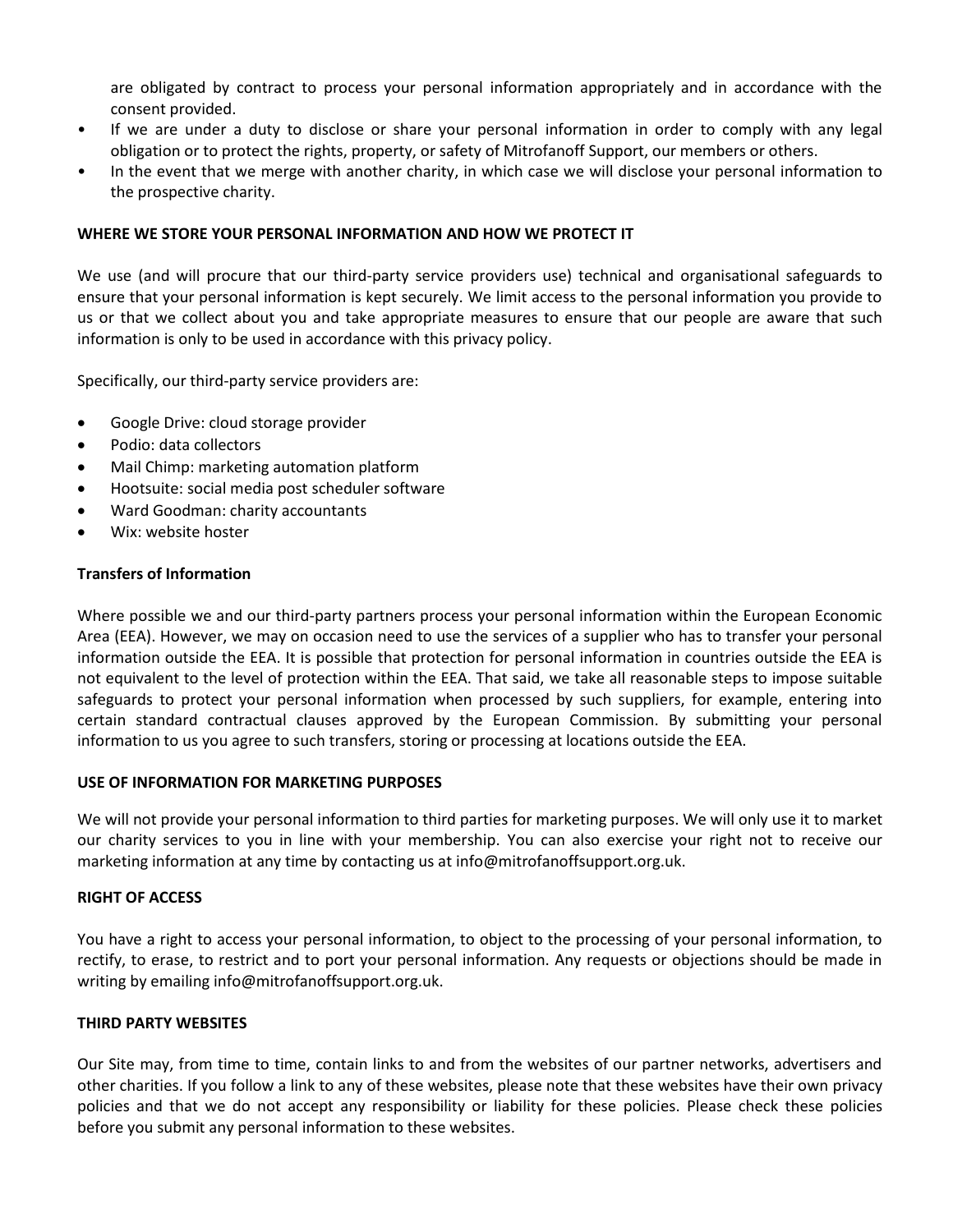are obligated by contract to process your personal information appropriately and in accordance with the consent provided.

- If we are under a duty to disclose or share your personal information in order to comply with any legal obligation or to protect the rights, property, or safety of Mitrofanoff Support, our members or others.
- In the event that we merge with another charity, in which case we will disclose your personal information to the prospective charity.

## **WHERE WE STORE YOUR PERSONAL INFORMATION AND HOW WE PROTECT IT**

We use (and will procure that our third-party service providers use) technical and organisational safeguards to ensure that your personal information is kept securely. We limit access to the personal information you provide to us or that we collect about you and take appropriate measures to ensure that our people are aware that such information is only to be used in accordance with this privacy policy.

Specifically, our third-party service providers are:

- Google Drive: cloud storage provider
- Podio: data collectors
- Mail Chimp: marketing automation platform
- Hootsuite: social media post scheduler software
- Ward Goodman: charity accountants
- Wix: website hoster

# **Transfers of Information**

Where possible we and our third-party partners process your personal information within the European Economic Area (EEA). However, we may on occasion need to use the services of a supplier who has to transfer your personal information outside the EEA. It is possible that protection for personal information in countries outside the EEA is not equivalent to the level of protection within the EEA. That said, we take all reasonable steps to impose suitable safeguards to protect your personal information when processed by such suppliers, for example, entering into certain standard contractual clauses approved by the European Commission. By submitting your personal information to us you agree to such transfers, storing or processing at locations outside the EEA.

#### **USE OF INFORMATION FOR MARKETING PURPOSES**

We will not provide your personal information to third parties for marketing purposes. We will only use it to market our charity services to you in line with your membership. You can also exercise your right not to receive our marketing information at any time by contacting us at info@mitrofanoffsupport.org.uk.

## **RIGHT OF ACCESS**

You have a right to access your personal information, to object to the processing of your personal information, to rectify, to erase, to restrict and to port your personal information. Any requests or objections should be made in writing by emailing info@mitrofanoffsupport.org.uk.

# **THIRD PARTY WEBSITES**

Our Site may, from time to time, contain links to and from the websites of our partner networks, advertisers and other charities. If you follow a link to any of these websites, please note that these websites have their own privacy policies and that we do not accept any responsibility or liability for these policies. Please check these policies before you submit any personal information to these websites.